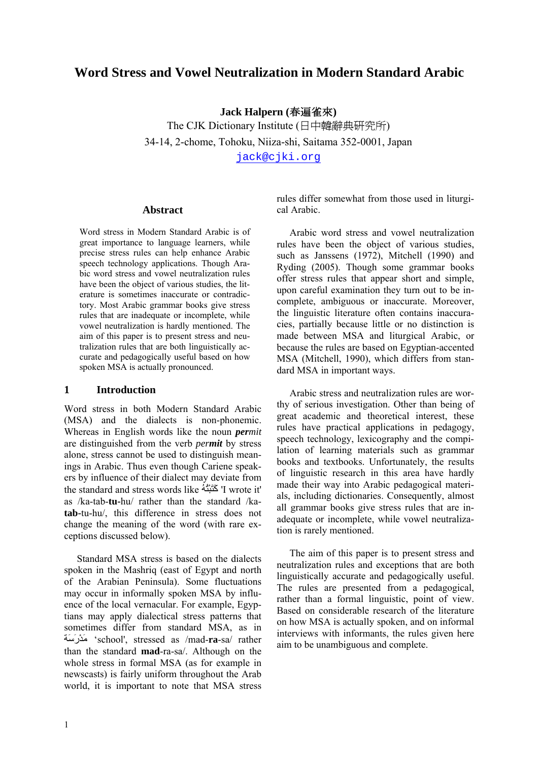# **Word Stress and Vowel Neutralization in Modern Standard Arabic**

**Jack Halpern (**春遍雀來**)** 

The CJK Dictionary Institute (日中韓辭典研究所) 34-14, 2-chome, Tohoku, Niiza-shi, Saitama 352-0001, Japan jack@cjki.org

#### **Abstract**

Word stress in Modern Standard Arabic is of great importance to language learners, while precise stress rules can help enhance Arabic speech technology applications. Though Arabic word stress and vowel neutralization rules have been the object of various studies, the literature is sometimes inaccurate or contradictory. Most Arabic grammar books give stress rules that are inadequate or incomplete, while vowel neutralization is hardly mentioned. The aim of this paper is to present stress and neutralization rules that are both linguistically accurate and pedagogically useful based on how spoken MSA is actually pronounced.

#### **1 Introduction**

Word stress in both Modern Standard Arabic (MSA) and the dialects is non-phonemic. Whereas in English words like the noun *permit* are distinguished from the verb *permit* by stress alone, stress cannot be used to distinguish meanings in Arabic. Thus even though Cariene speakers by influence of their dialect may deviate from the standard and stress words like ُهُتْبَتَآ' I wrote it' as /ka-tab-**tu-**hu/ rather than the standard /ka**tab-**tu-hu/, this difference in stress does not change the meaning of the word (with rare exceptions discussed below).

Standard MSA stress is based on the dialects spoken in the Mashriq (east of Egypt and north of the Arabian Peninsula). Some fluctuations may occur in informally spoken MSA by influence of the local vernacular. For example, Egyptians may apply dialectical stress patterns that sometimes differ from standard MSA, as in ةَسَرْدَم' school', stressed as /mad-**ra**-sa/ rather than the standard **mad**-ra-sa/. Although on the whole stress in formal MSA (as for example in newscasts) is fairly uniform throughout the Arab world, it is important to note that MSA stress

rules differ somewhat from those used in liturgical Arabic.

Arabic word stress and vowel neutralization rules have been the object of various studies, such as Janssens (1972), Mitchell (1990) and Ryding (2005). Though some grammar books offer stress rules that appear short and simple, upon careful examination they turn out to be incomplete, ambiguous or inaccurate. Moreover, the linguistic literature often contains inaccuracies, partially because little or no distinction is made between MSA and liturgical Arabic, or because the rules are based on Egyptian-accented MSA (Mitchell, 1990), which differs from standard MSA in important ways.

Arabic stress and neutralization rules are worthy of serious investigation. Other than being of great academic and theoretical interest, these rules have practical applications in pedagogy, speech technology, lexicography and the compilation of learning materials such as grammar books and textbooks. Unfortunately, the results of linguistic research in this area have hardly made their way into Arabic pedagogical materials, including dictionaries. Consequently, almost all grammar books give stress rules that are inadequate or incomplete, while vowel neutralization is rarely mentioned.

The aim of this paper is to present stress and neutralization rules and exceptions that are both linguistically accurate and pedagogically useful. The rules are presented from a pedagogical, rather than a formal linguistic, point of view. Based on considerable research of the literature on how MSA is actually spoken, and on informal interviews with informants, the rules given here aim to be unambiguous and complete.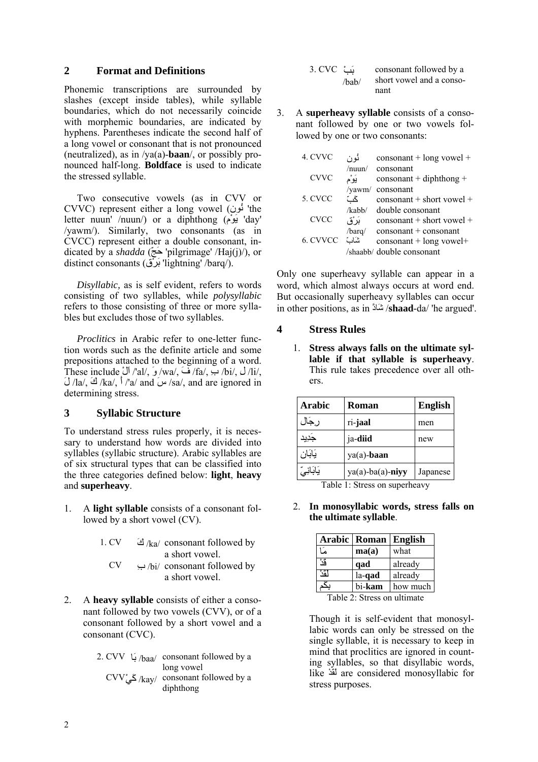### **2 Format and Definitions**

Phonemic transcriptions are surrounded by slashes (except inside tables), while syllable boundaries, which do not necessarily coincide with morphemic boundaries, are indicated by hyphens. Parentheses indicate the second half of a long vowel or consonant that is not pronounced (neutralized), as in /ya(a)-**baan**/, or possibly pronounced half-long. **Boldface** is used to indicate the stressed syllable.

Two consecutive vowels (as in CVV or CVVC) represent either a long vowel (ونُن' the letter nuun' /nuun/) or a diphthong (مْوَي' day' /yawm/). Similarly, two consonants (as in CVCC) represent either a double consonant, indicated by a *shadda* (ّجَح' pilgrimage' /Haj(j)/), or distinct consonants (قْرَب' lightning' /barq/).

*Disyllabic,* as is self evident, refers to words consisting of two syllables, while *polysyllabic* refers to those consisting of three or more syllables but excludes those of two syllables.

*Proclitics* in Arabic refer to one-letter function words such as the definite article and some prepositions attached to the beginning of a word. These include  $\checkmark$  /'al/,  $\checkmark$  /wa/,  $\checkmark$  /fa/,  $\checkmark$  /bi/,  $\checkmark$  /li/,  $\bigcup/\mathbf{a}/\bigtriangleup$  /ka/,  $\bigwedge/\mathbf{a}/\bigtriangleup$  /sa/, and are ignored in determining stress.

### **3 Syllabic Structure**

To understand stress rules properly, it is necessary to understand how words are divided into syllables (syllabic structure). Arabic syllables are of six structural types that can be classified into the three categories defined below: **light**, **heavy** and **superheavy**.

- 1. A **light syllable** consists of a consonant followed by a short vowel (CV).
	- 1. CV  $\approx$  /ka/ consonant followed by a short vowel.
		- CV ِب /bi/ consonant followed by a short vowel.
- 2. A **heavy syllable** consists of either a consonant followed by two vowels (CVV), or of a consonant followed by a short vowel and a consonant (CVC).

|  | 2. CVV $\mu_{\text{baa}}$ consonant followed by a                            |
|--|------------------------------------------------------------------------------|
|  | long vowel<br>$CVV^*$ گی $\langle$ kay/ consonant followed by a<br>diphthong |

| ئٹ 3. CVC |       | consonant followed by a  |
|-----------|-------|--------------------------|
|           | /hab/ | short vowel and a conso- |
|           |       | nant                     |

3. A **superheavy syllable** consists of a consonant followed by one or two vowels followed by one or two consonants:

| 4. CVVC     | ئو ن            | $\cos$ onsonant + long vowel +                                                            |
|-------------|-----------------|-------------------------------------------------------------------------------------------|
| <b>CVVC</b> | /num/<br>يَوْم  | consonant<br>$\cos$ onsonant + diphthong +                                                |
| 5. CVCC     | /yawm/<br>گٹ    | consonant<br>$\cos$ onsonant + short vowel +                                              |
| <b>CVCC</b> | /kabb/<br>بَرْق | double consonant<br>$\cos$ consonant + short vowel +                                      |
| 6. CVVCC    | /barq/<br>شات   | $\cos$ onsonant + consonant<br>$\cos$ onsonant + long vowel+<br>/shaabb/ double consonant |
|             |                 |                                                                                           |

Only one superheavy syllable can appear in a word, which almost always occurs at word end. But occasionally superheavy syllables can occur in other positions, as in ادََّش /**shaad**-da/ 'he argued'.

#### **4 Stress Rules**

1. **Stress always falls on the ultimate syllable if that syllable is superheavy**. This rule takes precedence over all others.

| <b>Arabic</b> | <b>Roman</b>        | <b>English</b> |
|---------------|---------------------|----------------|
| رجال          | ri-jaal             | men            |
| جَدِيد        | ja-diid             | new            |
| يَابَان       | ya(a)-baan          |                |
| يَابَانِيِّ   | $ya(a)$ -ba(a)-niyy | Japanese       |

Table 1: Stress on superheavy

2. **In monosyllabic words, stress falls on the ultimate syllable**.

|                             | Arabic   Roman   English |          |  |
|-----------------------------|--------------------------|----------|--|
| که ا                        | ma(a)                    | what     |  |
| قُدُ                        | qad                      | already  |  |
| ڵۊٞۮ                        | la-qad                   | already  |  |
| Š.                          | bi-kam                   | how much |  |
| Table 2: Stress on ultimate |                          |          |  |

Though it is self-evident that monosyllabic words can only be stressed on the single syllable, it is necessary to keep in mind that proclitics are ignored in counting syllables, so that disyllabic words, like ْدَقَل are considered monosyllabic for stress purposes.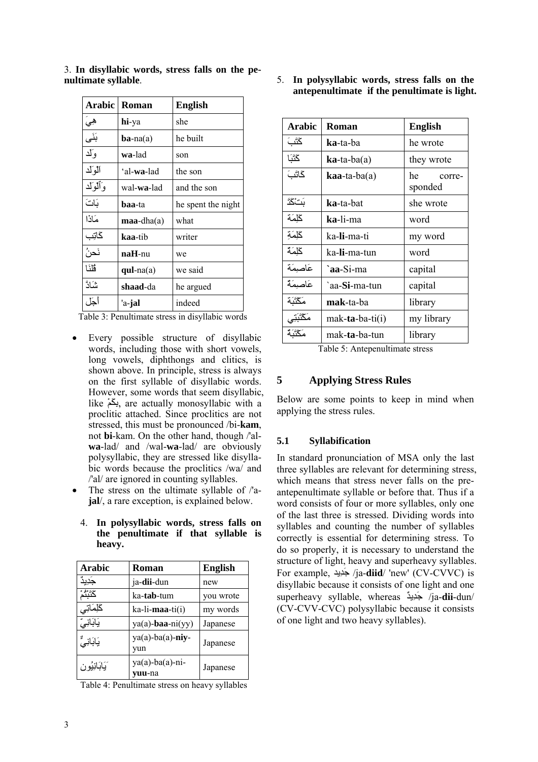| Arabic      | Roman               | English            |
|-------------|---------------------|--------------------|
| هي          | hi-ya               | she                |
| بَنَى       | $ba-na(a)$          | he built           |
| وَلَد       | wa-lad              | son                |
| آلوآلد      | 'al-wa-lad          | the son            |
| وَأَلْوَلْد | wal- <b>wa</b> -lad | and the son        |
| بَاتَ       | <b>baa-ta</b>       | he spent the night |
| مَاذَا      | $maa$ -dha $(a)$    | what               |
| گاټِب       | kaa-tib             | writer             |
| نَحنُ       | $n$ a $H$ -nu       | we                 |
| فلنَا       | $qul-na(a)$         | we said            |
| شَادَّ      | shaad-da            | he argued          |
| أجل         | 'a-jal              | indeed             |

3. **In disyllabic words, stress falls on the penultimate syllable**.

Table 3: Penultimate stress in disyllabic words

- Every possible structure of disyllabic words, including those with short vowels, long vowels, diphthongs and clitics, is shown above. In principle, stress is always on the first syllable of disyllabic words. However, some words that seem disyllabic, like ْمَكِب, are actually monosyllabic with a proclitic attached. Since proclitics are not stressed, this must be pronounced /bi-**kam**, not **bi**-kam. On the other hand, though /'al**wa**-lad/ and /wal-**wa**-lad/ are obviously polysyllabic, they are stressed like disyllabic words because the proclitics /wa/ and /'al/ are ignored in counting syllables.
- The stress on the ultimate syllable of /'a**jal**/, a rare exception, is explained below.
	- 4. **In polysyllabic words, stress falls on the penultimate if that syllable is heavy.**

| Arabic        | Roman                               | <b>English</b> |
|---------------|-------------------------------------|----------------|
| جديد          | ja-dii-dun                          | new            |
| ݿݨݑݨݥ         | ka- <b>tab</b> -tum                 | you wrote      |
| كَلِمَاتِي    | ka-li- <b>maa</b> -ti(i)            | my words       |
| يَابَانِيِّ   | $ya(a)$ -baa-ni $(yy)$              | Japanese       |
| يَابَانِيٌّ   | $ya(a)$ -ba $(a)$ -niy-<br>vun      | Japanese       |
| َيَابَانِيُون | $ya(a)-ba(a)-ni-$<br><b>vuu</b> -na | Japanese       |

Table 4: Penultimate stress on heavy syllables

5. **In polysyllabic words, stress falls on the antepenultimate if the penultimate is light.** 

| Arabic      | Roman                       | <b>English</b>          |
|-------------|-----------------------------|-------------------------|
| ݣْنَبَ      | <b>ka-ta-ba</b>             | he wrote                |
| ݣْنَا       | $\mathbf{ka}$ -ta-ba $(a)$  | they wrote              |
| گاتَبَ      | $\bf{ka}$ a-ta-ba $\bf{a})$ | he<br>corre-<br>sponded |
| بَتْكَدَّ   | <b>ka-ta-bat</b>            | she wrote               |
| كملمَة      | ka-li-ma                    | word                    |
| كلِمَةِ     | ka-li-ma-ti                 | my word                 |
| كملمَة      | ka <b>-li-</b> ma-tun       | word                    |
| عَاصِمَة    | `aa-Si-ma                   | capital                 |
| عَاصِمَةٌ   | `aa-Si-ma-tun               | capital                 |
| مَكْنَبَة   | mak-ta-ba                   | library                 |
| مَكْتَبَتِي | mak-ta-ba-ti $(i)$          | my library              |
| مَكْنَنَهُ  | mak- <b>ta</b> -ba-tun      | library                 |

Table 5: Antepenultimate stress

## **5 Applying Stress Rules**

Below are some points to keep in mind when applying the stress rules.

### **5.1 Syllabification**

In standard pronunciation of MSA only the last three syllables are relevant for determining stress, which means that stress never falls on the preantepenultimate syllable or before that. Thus if a word consists of four or more syllables, only one of the last three is stressed. Dividing words into syllables and counting the number of syllables correctly is essential for determining stress. To do so properly, it is necessary to understand the structure of light, heavy and superheavy syllables. For example, يدِدَج /ja-**diid**/ 'new' (CV-CVVC) is disyllabic because it consists of one light and one superheavy syllable, whereas ٌيدِدَج /ja-**dii**-dun/ (CV-CVV-CVC) polysyllabic because it consists of one light and two heavy syllables).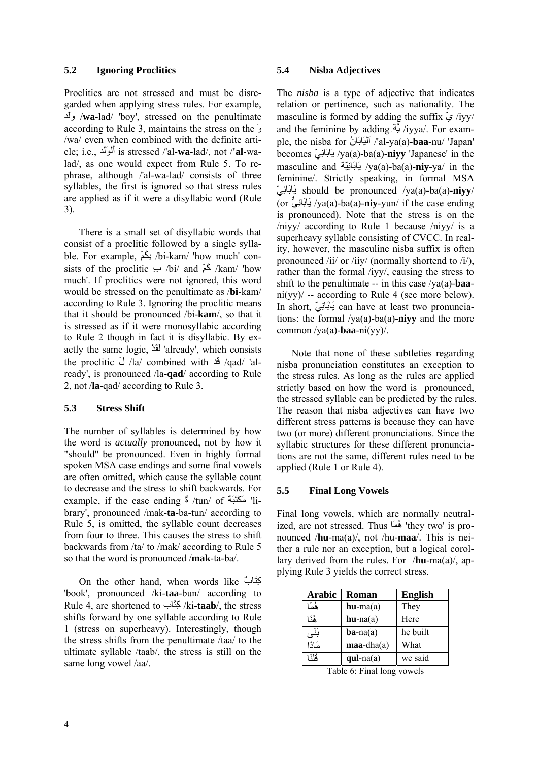#### **5.2 Ignoring Proclitics**

Proclitics are not stressed and must be disregarded when applying stress rules. For example, دَلَو /**wa**-lad/ 'boy', stressed on the penultimate according to Rule 3, maintains the stress on the َو /wa/ even when combined with the definite article; i.e., دَلَوْلَأ is stressed /'al-**wa**-lad/, not /**'al**-walad/, as one would expect from Rule 5. To rephrase, although /'al-wa-lad/ consists of three syllables, the first is ignored so that stress rules are applied as if it were a disyllabic word (Rule 3).

There is a small set of disyllabic words that consist of a proclitic followed by a single syllable. For example, ْمَكِب /bi-kam/ 'how much' consists of the proclitic  $\leftrightarrow$  /bi/ and  $\&$  /kam/ 'how much'. If proclitics were not ignored, this word would be stressed on the penultimate as /**bi**-kam/ according to Rule 3. Ignoring the proclitic means that it should be pronounced /bi-**kam**/, so that it is stressed as if it were monosyllabic according to Rule 2 though in fact it is disyllabic. By exactly the same logic, ْدَقَل' already', which consists the proclitic َل /la/ combined with دَق /qad/ 'already', is pronounced /la-**qad**/ according to Rule 2, not /**la**-qad/ according to Rule 3.

#### **5.3 Stress Shift**

The number of syllables is determined by how the word is *actually* pronounced, not by how it "should" be pronounced. Even in highly formal spoken MSA case endings and some final vowels are often omitted, which cause the syllable count to decrease and the stress to shift backwards. For example, if the case ending ٌة /tun/ of ٌةَبَتْكَم' library', pronounced /mak-**ta**-ba-tun/ according to Rule 5, is omitted, the syllable count decreases from four to three. This causes the stress to shift backwards from /ta/ to /mak/ according to Rule 5 so that the word is pronounced /**mak**-ta-ba/.

On the other hand, when words like ٌابَتِآ 'book', pronounced /ki-**taa**-bun/ according to Rule 4, are shortened to ابَتِآ /ki-**taab**/, the stress shifts forward by one syllable according to Rule 1 (stress on superheavy). Interestingly, though the stress shifts from the penultimate /taa/ to the ultimate syllable /taab/, the stress is still on the same long vowel /aa/.

### **5.4 Nisba Adjectives**

The *nisba* is a type of adjective that indicates relation or pertinence, such as nationality. The masculine is formed by adding the suffix  $\zeta$ /iyy/ and the feminine by addingِيَّة /iyya/. For example, the nisba for ُانَابَيْلَا /'al-ya(a)-**baa**-nu/ 'Japan' becomes ّيِانَابَي /ya(a)-ba(a)-**niyy** 'Japanese' in the masculine and ةّيِانَابَي /ya(a)-ba(a)-**niy**-ya/ in the feminine/. Strictly speaking, in formal MSA ّيِانَابَي should be pronounced /ya(a)-ba(a)-**niyy**/ (or يٌِّانَابَي /ya(a)-ba(a)-**niy**-yun/ if the case ending is pronounced). Note that the stress is on the /niyy/ according to Rule 1 because /niyy/ is a superheavy syllable consisting of CVCC. In reality, however, the masculine nisba suffix is often pronounced /ii/ or /iiy/ (normally shortend to /i/), rather than the formal /iyy/, causing the stress to shift to the penultimate -- in this case /ya(a)-**baa**ni(yy)  $\prime$  -- according to Rule 4 (see more below). In short, ّيِانَابَي can have at least two pronunciations: the formal /ya(a)-ba(a)-**niyy** and the more common /ya(a)-**baa**-ni(yy)/.

Note that none of these subtleties regarding nisba pronunciation constitutes an exception to the stress rules. As long as the rules are applied strictly based on how the word is pronounced, the stressed syllable can be predicted by the rules. The reason that nisba adjectives can have two different stress patterns is because they can have two (or more) different pronunciations. Since the syllabic structures for these different pronunciations are not the same, different rules need to be applied (Rule 1 or Rule 4).

### **5.5 Final Long Vowels**

Final long vowels, which are normally neutralized, are not stressed. Thus اَمُه' they two' is pronounced /**hu**-ma(a)/, not /hu-**maa**/. This is neither a rule nor an exception, but a logical corollary derived from the rules. For /**hu**-ma(a)/, applying Rule 3 yields the correct stress.

| <b>Arabic</b> | <b>Roman</b>     | <b>English</b> |
|---------------|------------------|----------------|
| هُمَا         | $hu-ma(a)$       | They           |
| هُ:1          | $hu$ -na $(a)$   | Here           |
| بَنَى         | $ba$ -na(a)      | he built       |
| مَاذَا        | $maa$ -dha $(a)$ | What           |
| ة أنّ 1       | $qul-na(a)$      | we said        |

Table 6: Final long vowels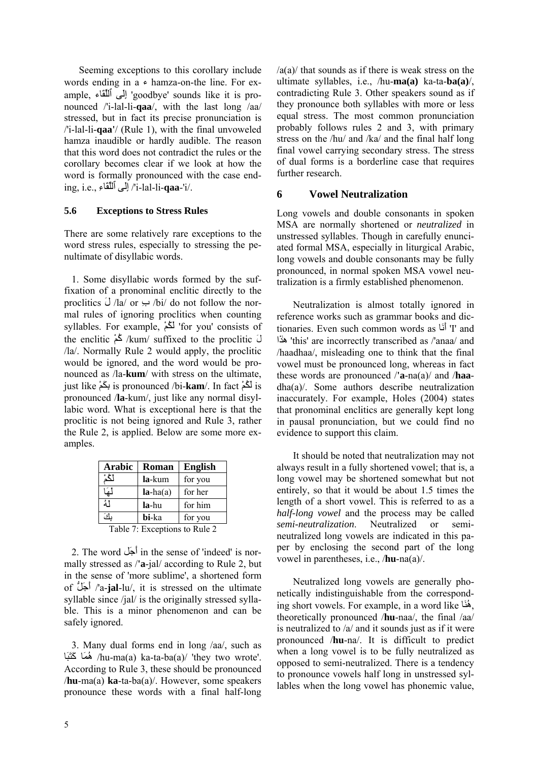Seeming exceptions to this corollary include words ending in  $a \in \text{hamza-on-the line}$ . For example, إِلَى ٱللَّقَاء goodbye' sounds like it is pronounced /'i-lal-li-**qaa**/, with the last long /aa/ stressed, but in fact its precise pronunciation is /'i-lal-li-**qaa'**/ (Rule 1), with the final unvoweled hamza inaudible or hardly audible. The reason that this word does not contradict the rules or the corollary becomes clear if we look at how the word is formally pronounced with the case ending, i.e., ِاءَٱللِّق ىَلِإ /'i-lal-li-**qaa**-'i/.

#### **5.6 Exceptions to Stress Rules**

There are some relatively rare exceptions to the word stress rules, especially to stressing the penultimate of disyllabic words.

 1. Some disyllabic words formed by the suffixation of a pronominal enclitic directly to the proclitics  $\tilde{U}$  /la/ or  $\leftrightarrow$  /bi/ do not follow the normal rules of ignoring proclitics when counting syllables. For example, ْمُكَل' for you' consists of the enclitic ْمُآ /kum/ suffixed to the proclitic َل /la/. Normally Rule 2 would apply, the proclitic would be ignored, and the word would be pronounced as /la-**kum**/ with stress on the ultimate, just like ْمَكِب is pronounced /bi-**kam**/. In fact ْمُكَل is pronounced /**la**-kum/, just like any normal disyllabic word. What is exceptional here is that the proclitic is not being ignored and Rule 3, rather the Rule 2, is applied. Below are some more examples.

| <b>Arabic</b> | <b>Roman</b> | <b>English</b> |  |  |
|---------------|--------------|----------------|--|--|
| ڵػؙۮ          | la-kum       | for you        |  |  |
| لَمِهَا       | $la-ha(a)$   | for her        |  |  |
| å١            | la-hu        | for him        |  |  |
| بكَ           | bi-ka        | for you        |  |  |
| m<br>n.       |              |                |  |  |

Table 7: Exceptions to Rule 2

 2. The word لَجَأ in the sense of 'indeed' is normally stressed as /**'a**-jal/ according to Rule 2, but in the sense of 'more sublime', a shortened form of لَُّجَأ /'a-**jal**-lu/, it is stressed on the ultimate syllable since /jal/ is the originally stressed syllable. This is a minor phenomenon and can be safely ignored.

 3. Many dual forms end in long /aa/, such as اَبَتَآ اَمُه /hu-ma(a) ka-ta-ba(a)/ 'they two wrote'. According to Rule 3, these should be pronounced /**hu**-ma(a) **ka**-ta-ba(a)/. However, some speakers pronounce these words with a final half-long /a(a)/ that sounds as if there is weak stress on the ultimate syllables, i.e., /hu-**ma(a)** ka-ta-**ba(a)**/, contradicting Rule 3. Other speakers sound as if they pronounce both syllables with more or less equal stress. The most common pronunciation probably follows rules 2 and 3, with primary stress on the /hu/ and /ka/ and the final half long final vowel carrying secondary stress. The stress of dual forms is a borderline case that requires further research.

#### **6 Vowel Neutralization**

Long vowels and double consonants in spoken MSA are normally shortened or *neutralized* in unstressed syllables. Though in carefully enunciated formal MSA, especially in liturgical Arabic, long vowels and double consonants may be fully pronounced, in normal spoken MSA vowel neutralization is a firmly established phenomenon.

 Neutralization is almost totally ignored in reference works such as grammar books and dictionaries. Even such common words as اَنَأ' I' and اَذٰه' this' are incorrectly transcribed as /'anaa/ and /haadhaa/, misleading one to think that the final vowel must be pronounced long, whereas in fact these words are pronounced /**'a**-na(a)/ and /**haa**dha(a)/. Some authors describe neutralization inaccurately. For example, Holes (2004) states that pronominal enclitics are generally kept long in pausal pronunciation, but we could find no evidence to support this claim.

 It should be noted that neutralization may not always result in a fully shortened vowel; that is, a long vowel may be shortened somewhat but not entirely, so that it would be about 1.5 times the length of a short vowel. This is referred to as a *half-long vowel* and the process may be called *semi-neutralization*. Neutralized or semineutralized long vowels are indicated in this paper by enclosing the second part of the long vowel in parentheses, i.e., /**hu**-na(a)/.

 Neutralized long vowels are generally phonetically indistinguishable from the corresponding short vowels. For example, in a word like اَنُه, theoretically pronounced /**hu**-naa/, the final /aa/ is neutralized to /a/ and it sounds just as if it were pronounced /**hu**-na/. It is difficult to predict when a long vowel is to be fully neutralized as opposed to semi-neutralized. There is a tendency to pronounce vowels half long in unstressed syllables when the long vowel has phonemic value,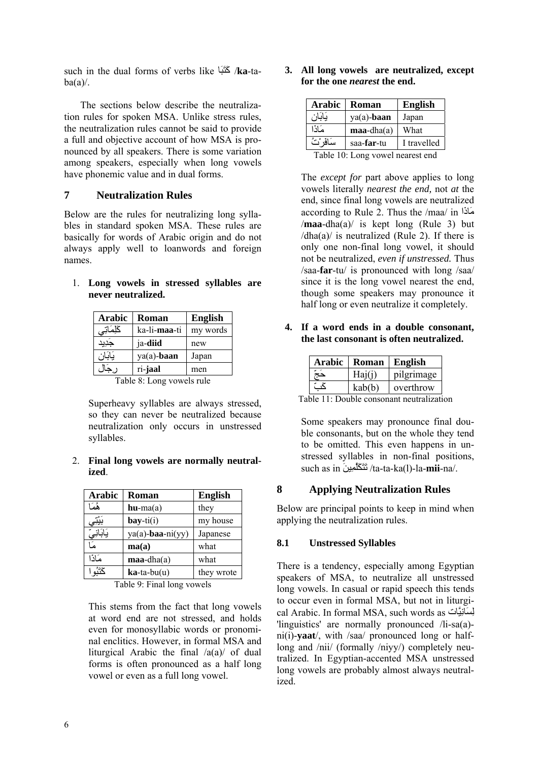such in the dual forms of verbs like اَبَتَآ /**ka**-ta $ba(a)/$ .

 The sections below describe the neutralization rules for spoken MSA. Unlike stress rules, the neutralization rules cannot be said to provide a full and objective account of how MSA is pronounced by all speakers. There is some variation among speakers, especially when long vowels have phonemic value and in dual forms.

## **7 Neutralization Rules**

Below are the rules for neutralizing long syllables in standard spoken MSA. These rules are basically for words of Arabic origin and do not always apply well to loanwords and foreign names.

|  |                    |  | 1. Long vowels in stressed syllables are |  |
|--|--------------------|--|------------------------------------------|--|
|  | never neutralized. |  |                                          |  |

| <b>Arabic</b>             | Roman                 | <b>English</b> |  |
|---------------------------|-----------------------|----------------|--|
| كَلِمَاتِي                | ka-li <b>-maa</b> -ti | my words       |  |
| جديد                      | ja-diid               | new            |  |
| يَابَان                   | ya(a)-baan            | Japan          |  |
| رجال                      | ri-jaal               | men            |  |
| Toble 8. Long voyale rule |                       |                |  |

Table 8: Long vowels rule

Superheavy syllables are always stressed, so they can never be neutralized because neutralization only occurs in unstressed syllables.

### 2. **Final long vowels are normally neutralized**.

| <b>Arabic</b> | Roman                       | <b>English</b> |
|---------------|-----------------------------|----------------|
| هٔمَا         | $hu-ma(a)$                  | they           |
| بييو          | $\mathbf{bay\text{-}ti}(i)$ | my house       |
| يَابَانِيِّ   | $ya(a)$ -baa-ni $(yy)$      | Japanese       |
| ھا            | ma(a)                       | what           |
| مَاذا         | $maa$ -dha $(a)$            | what           |
|               | $k$ a-ta-bu $(u)$           | they wrote     |

Table 9: Final long vowels

This stems from the fact that long vowels at word end are not stressed, and holds even for monosyllabic words or pronominal enclitics. However, in formal MSA and liturgical Arabic the final /a(a)/ of dual forms is often pronounced as a half long vowel or even as a full long vowel.

**3. All long vowels are neutralized, except for the one** *nearest* **the end.** 

| <b>Arabic</b> | <b>Roman</b>        | <b>English</b> |
|---------------|---------------------|----------------|
|               | $ya(a)$ -baan       | Japan          |
| عاذا          | $maa$ -dha $(a)$    | What           |
| سَافَه ْتُ    | saa- <b>far</b> -tu | I travelled    |

Table 10: Long vowel nearest end

The *except for* part above applies to long vowels literally *nearest the end,* not *at* the end, since final long vowels are neutralized according to Rule 2. Thus the /maa/ in اَاذَم /**maa**-dha(a)/ is kept long (Rule 3) but  $/dha(a)$  is neutralized (Rule 2). If there is only one non-final long vowel, it should not be neutralized, *even if unstressed.* Thus /saa-**far**-tu/ is pronounced with long /saa/ since it is the long vowel nearest the end, though some speakers may pronounce it half long or even neutralize it completely.

**4. If a word ends in a double consonant, the last consonant is often neutralized.** 

| Arabic | Roman  | <b>English</b> |
|--------|--------|----------------|
|        | Haj(i) | pilgrimage     |
|        | kab(b) | overthrow      |

Table 11: Double consonant neutralization

Some speakers may pronounce final double consonants, but on the whole they tend to be omitted. This even happens in unstressed syllables in non-final positions, such as in َينِلَّمَكَتَت /ta-ta-ka(l)-la-**mii**-na/.

## **8 Applying Neutralization Rules**

Below are principal points to keep in mind when applying the neutralization rules.

## **8.1 Unstressed Syllables**

There is a tendency, especially among Egyptian speakers of MSA, to neutralize all unstressed long vowels. In casual or rapid speech this tends to occur even in formal MSA, but not in liturgical Arabic. In formal MSA, such words as يَّاتِانَسِل 'linguistics' are normally pronounced /li-sa(a) ni(i)-**yaat**/, with /saa/ pronounced long or halflong and /nii/ (formally /niyy/) completely neutralized. In Egyptian-accented MSA unstressed long vowels are probably almost always neutralized.